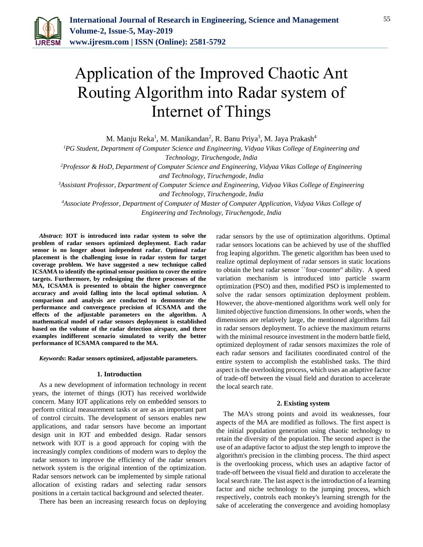

# Application of the Improved Chaotic Ant Routing Algorithm into Radar system of Internet of Things

M. Manju Reka<sup>1</sup>, M. Manikandan<sup>2</sup>, R. Banu Priya<sup>3</sup>, M. Jaya Prakash<sup>4</sup>

*<sup>1</sup>PG Student, Department of Computer Science and Engineering, Vidyaa Vikas College of Engineering and Technology, Tiruchengode, India*

*<sup>2</sup>Professor & HoD, Department of Computer Science and Engineering, Vidyaa Vikas College of Engineering and Technology, Tiruchengode, India*

*<sup>3</sup>Assistant Professor, Department of Computer Science and Engineering, Vidyaa Vikas College of Engineering and Technology, Tiruchengode, India*

*<sup>4</sup>Associate Professor, Department of Computer of Master of Computer Application, Vidyaa Vikas College of Engineering and Technology, Tiruchengode, India*

*Abstract***: IOT is introduced into radar system to solve the problem of radar sensors optimized deployment. Each radar sensor is no longer about independent radar. Optimal radar placement is the challenging issue in radar system for target coverage problem. We have suggested a new technique called ICSAMA to identify the optimal sensor position to cover the entire targets. Furthermore, by redesigning the three processes of the MA, ICSAMA is presented to obtain the higher convergence accuracy and avoid falling into the local optimal solution. A comparison and analysis are conducted to demonstrate the performance and convergence precision of ICSAMA and the effects of the adjustable parameters on the algorithm. A mathematical model of radar sensors deployment is established based on the volume of the radar detection airspace, and three examples indifferent scenario simulated to verify the better performance of ICSAMA compared to the MA.**

*Keywords***: Radar sensors optimized, adjustable parameters.** 

#### **1. Introduction**

As a new development of information technology in recent years, the internet of things (IOT) has received worldwide concern. Many IOT applications rely on embedded sensors to perform critical measurement tasks or are as an important part of control circuits. The development of sensors enables new applications, and radar sensors have become an important design unit in IOT and embedded design. Radar sensors network with IOT is a good approach for coping with the increasingly complex conditions of modern wars to deploy the radar sensors to improve the efficiency of the radar sensors network system is the original intention of the optimization. Radar sensors network can be implemented by simple rational allocation of existing radars and selecting radar sensors positions in a certain tactical background and selected theater.

There has been an increasing research focus on deploying

radar sensors by the use of optimization algorithms. Optimal radar sensors locations can be achieved by use of the shuffled frog leaping algorithm. The genetic algorithm has been used to realize optimal deployment of radar sensors in static locations to obtain the best radar sensor ``four-counter'' ability. A speed variation mechanism is introduced into particle swarm optimization (PSO) and then, modified PSO is implemented to solve the radar sensors optimization deployment problem. However, the above-mentioned algorithms work well only for limited objective function dimensions. In other words, when the dimensions are relatively large, the mentioned algorithms fail in radar sensors deployment. To achieve the maximum returns with the minimal resource investment in the modern battle field, optimized deployment of radar sensors maximizes the role of each radar sensors and facilitates coordinated control of the entire system to accomplish the established tasks. The third aspect is the overlooking process, which uses an adaptive factor of trade-off between the visual field and duration to accelerate the local search rate.

#### **2. Existing system**

The MA's strong points and avoid its weaknesses, four aspects of the MA are modified as follows. The first aspect is the initial population generation using chaotic technology to retain the diversity of the population. The second aspect is the use of an adaptive factor to adjust the step length to improve the algorithm's precision in the climbing process. The third aspect is the overlooking process, which uses an adaptive factor of trade-off between the visual field and duration to accelerate the local search rate. The last aspect is the introduction of a learning factor and niche technology to the jumping process, which respectively, controls each monkey's learning strength for the sake of accelerating the convergence and avoiding homoplasy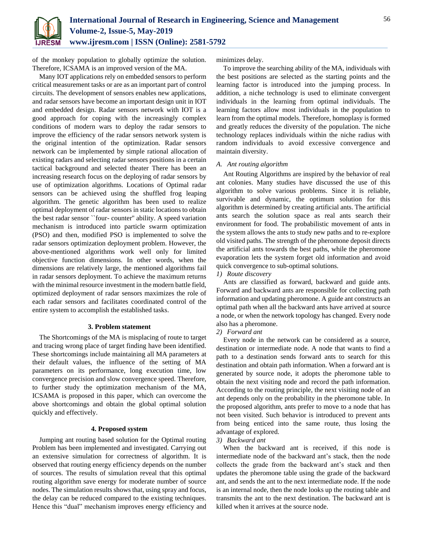

of the monkey population to globally optimize the solution. Therefore, ICSAMA is an improved version of the MA.

Many IOT applications rely on embedded sensors to perform critical measurement tasks or are as an important part of control circuits. The development of sensors enables new applications, and radar sensors have become an important design unit in IOT and embedded design. Radar sensors network with IOT is a good approach for coping with the increasingly complex conditions of modern wars to deploy the radar sensors to improve the efficiency of the radar sensors network system is the original intention of the optimization. Radar sensors network can be implemented by simple rational allocation of existing radars and selecting radar sensors positions in a certain tactical background and selected theater There has been an increasing research focus on the deploying of radar sensors by use of optimization algorithms. Locations of Optimal radar sensors can be achieved using the shuffled frog leaping algorithm. The genetic algorithm has been used to realize optimal deployment of radar sensors in static locations to obtain the best radar sensor ``four- counter'' ability. A speed variation mechanism is introduced into particle swarm optimization (PSO) and then, modified PSO is implemented to solve the radar sensors optimization deployment problem. However, the above-mentioned algorithms work well only for limited objective function dimensions. In other words, when the dimensions are relatively large, the mentioned algorithms fail in radar sensors deployment. To achieve the maximum returns with the minimal resource investment in the modern battle field, optimized deployment of radar sensors maximizes the role of each radar sensors and facilitates coordinated control of the entire system to accomplish the established tasks.

## **3. Problem statement**

The Shortcomings of the MA is misplacing of route to target and tracing wrong place of target finding have been identified. These shortcomings include maintaining all MA parameters at their default values, the influence of the setting of MA parameters on its performance, long execution time, low convergence precision and slow convergence speed. Therefore, to further study the optimization mechanism of the MA, ICSAMA is proposed in this paper, which can overcome the above shortcomings and obtain the global optimal solution quickly and effectively.

# **4. Proposed system**

Jumping ant routing based solution for the Optimal routing Problem has been implemented and investigated. Carrying out an extensive simulation for correctness of algorithm. It is observed that routing energy efficiency depends on the number of sources. The results of simulation reveal that this optimal routing algorithm save energy for moderate number of source nodes. The simulation results shows that, using spray and focus, the delay can be reduced compared to the existing techniques. Hence this "dual" mechanism improves energy efficiency and

minimizes delay.

To improve the searching ability of the MA, individuals with the best positions are selected as the starting points and the learning factor is introduced into the jumping process. In addition, a niche technology is used to eliminate convergent individuals in the learning from optimal individuals. The learning factors allow most individuals in the population to learn from the optimal models. Therefore, homoplasy is formed and greatly reduces the diversity of the population. The niche technology replaces individuals within the niche radius with random individuals to avoid excessive convergence and maintain diversity.

# *A. Ant routing algorithm*

Ant Routing Algorithms are inspired by the behavior of real ant colonies. Many studies have discussed the use of this algorithm to solve various problems. Since it is reliable, survivable and dynamic, the optimum solution for this algorithm is determined by creating artificial ants. The artificial ants search the solution space as real ants search their environment for food. The probabilistic movement of ants in the system allows the ants to study new paths and to re-explore old visited paths. The strength of the pheromone deposit directs the artificial ants towards the best paths, while the pheromone evaporation lets the system forget old information and avoid quick convergence to sub-optimal solutions.

# *1) Route discovery*

Ants are classified as forward, backward and guide ants. Forward and backward ants are responsible for collecting path information and updating pheromone. A guide ant constructs an optimal path when all the backward ants have arrived at source a node, or when the network topology has changed. Every node also has a pheromone.

# *2) Forward ant*

Every node in the network can be considered as a source, destination or intermediate node. A node that wants to find a path to a destination sends forward ants to search for this destination and obtain path information. When a forward ant is generated by source node, it adopts the pheromone table to obtain the next visiting node and record the path information. According to the routing principle, the next visiting node of an ant depends only on the probability in the pheromone table. In the proposed algorithm, ants prefer to move to a node that has not been visited. Such behavior is introduced to prevent ants from being enticed into the same route, thus losing the advantage of explored.

### *3) Backward ant*

When the backward ant is received, if this node is intermediate node of the backward ant's stack, then the node collects the grade from the backward ant's stack and then updates the pheromone table using the grade of the backward ant, and sends the ant to the next intermediate node. If the node is an internal node, then the node looks up the routing table and transmits the ant to the next destination. The backward ant is killed when it arrives at the source node.